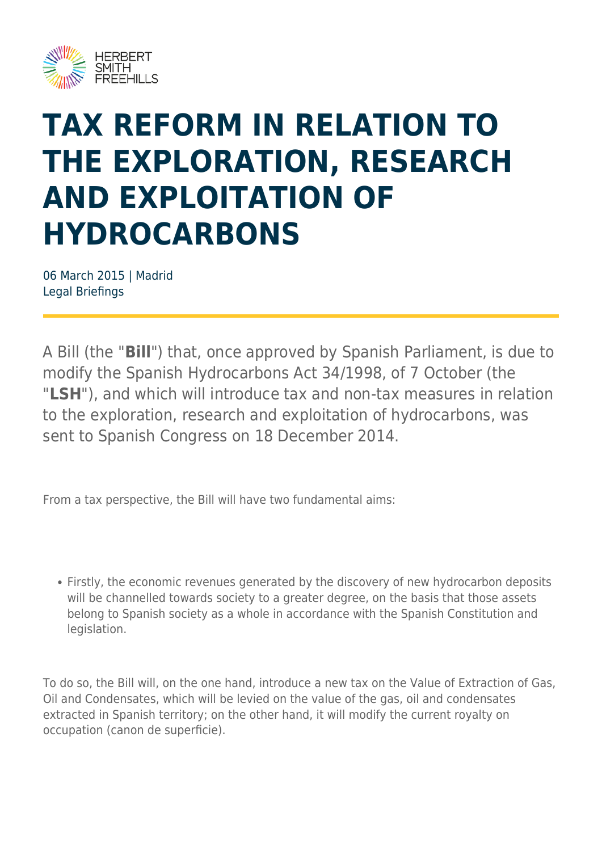

# **TAX REFORM IN RELATION TO THE EXPLORATION, RESEARCH AND EXPLOITATION OF HYDROCARBONS**

06 March 2015 | Madrid Legal Briefings

A Bill (the "**Bill**") that, once approved by Spanish Parliament, is due to modify the Spanish Hydrocarbons Act 34/1998, of 7 October (the "**LSH**"), and which will introduce tax and non-tax measures in relation to the exploration, research and exploitation of hydrocarbons, was sent to Spanish Congress on 18 December 2014.

From a tax perspective, the Bill will have two fundamental aims:

Firstly, the economic revenues generated by the discovery of new hydrocarbon deposits will be channelled towards society to a greater degree, on the basis that those assets belong to Spanish society as a whole in accordance with the Spanish Constitution and legislation.

To do so, the Bill will, on the one hand, introduce a new tax on the Value of Extraction of Gas, Oil and Condensates, which will be levied on the value of the gas, oil and condensates extracted in Spanish territory; on the other hand, it will modify the current royalty on occupation (canon de superficie).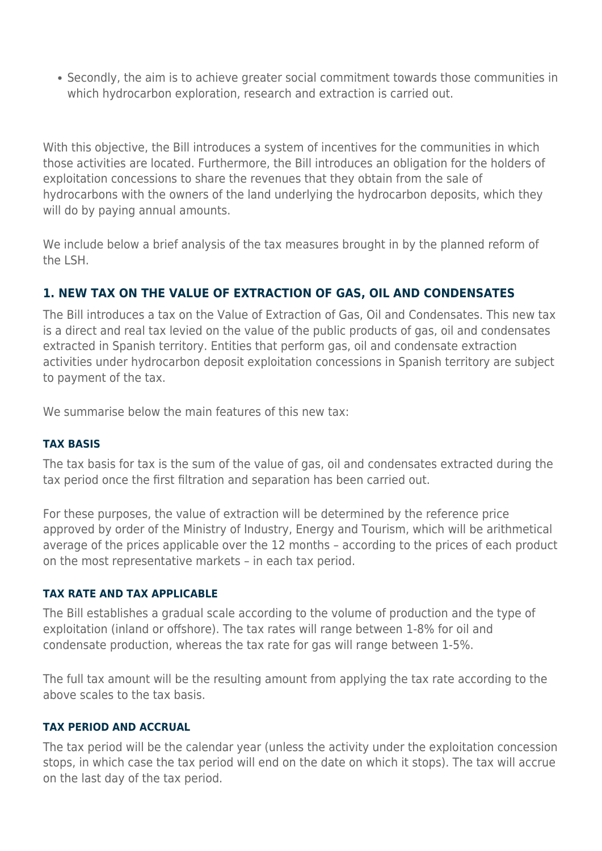Secondly, the aim is to achieve greater social commitment towards those communities in which hydrocarbon exploration, research and extraction is carried out.

With this objective, the Bill introduces a system of incentives for the communities in which those activities are located. Furthermore, the Bill introduces an obligation for the holders of exploitation concessions to share the revenues that they obtain from the sale of hydrocarbons with the owners of the land underlying the hydrocarbon deposits, which they will do by paying annual amounts.

We include below a brief analysis of the tax measures brought in by the planned reform of the LSH.

## **1. NEW TAX ON THE VALUE OF EXTRACTION OF GAS, OIL AND CONDENSATES**

The Bill introduces a tax on the Value of Extraction of Gas, Oil and Condensates. This new tax is a direct and real tax levied on the value of the public products of gas, oil and condensates extracted in Spanish territory. Entities that perform gas, oil and condensate extraction activities under hydrocarbon deposit exploitation concessions in Spanish territory are subject to payment of the tax.

We summarise below the main features of this new tax:

#### **TAX BASIS**

The tax basis for tax is the sum of the value of gas, oil and condensates extracted during the tax period once the first filtration and separation has been carried out.

For these purposes, the value of extraction will be determined by the reference price approved by order of the Ministry of Industry, Energy and Tourism, which will be arithmetical average of the prices applicable over the 12 months – according to the prices of each product on the most representative markets – in each tax period.

#### **TAX RATE AND TAX APPLICABLE**

The Bill establishes a gradual scale according to the volume of production and the type of exploitation (inland or offshore). The tax rates will range between 1-8% for oil and condensate production, whereas the tax rate for gas will range between 1-5%.

The full tax amount will be the resulting amount from applying the tax rate according to the above scales to the tax basis.

#### **TAX PERIOD AND ACCRUAL**

The tax period will be the calendar year (unless the activity under the exploitation concession stops, in which case the tax period will end on the date on which it stops). The tax will accrue on the last day of the tax period.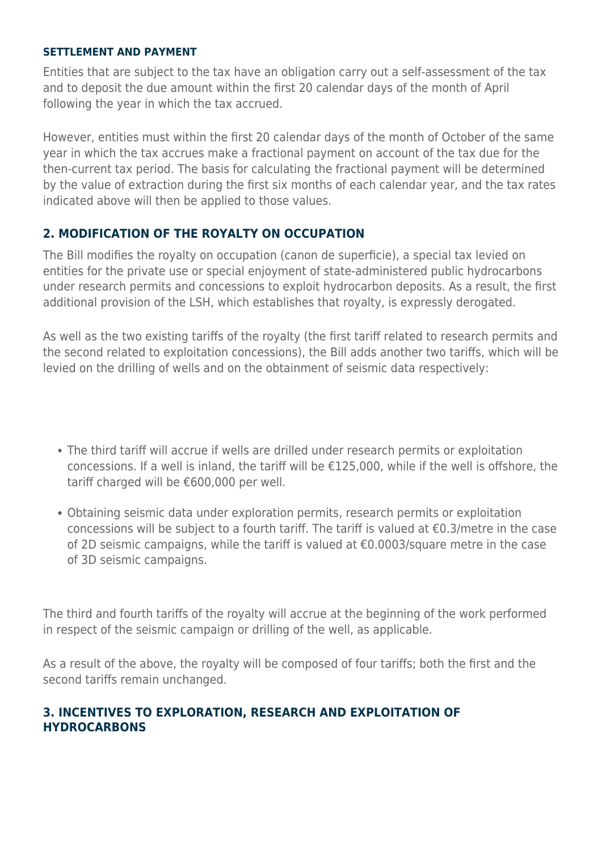#### **SETTLEMENT AND PAYMENT**

Entities that are subject to the tax have an obligation carry out a self-assessment of the tax and to deposit the due amount within the first 20 calendar days of the month of April following the year in which the tax accrued.

However, entities must within the first 20 calendar days of the month of October of the same year in which the tax accrues make a fractional payment on account of the tax due for the then-current tax period. The basis for calculating the fractional payment will be determined by the value of extraction during the first six months of each calendar year, and the tax rates indicated above will then be applied to those values.

### **2. MODIFICATION OF THE ROYALTY ON OCCUPATION**

The Bill modifies the royalty on occupation (canon de superficie), a special tax levied on entities for the private use or special enjoyment of state-administered public hydrocarbons under research permits and concessions to exploit hydrocarbon deposits. As a result, the first additional provision of the LSH, which establishes that royalty, is expressly derogated.

As well as the two existing tariffs of the royalty (the first tariff related to research permits and the second related to exploitation concessions), the Bill adds another two tariffs, which will be levied on the drilling of wells and on the obtainment of seismic data respectively:

- The third tariff will accrue if wells are drilled under research permits or exploitation concessions. If a well is inland, the tariff will be €125,000, while if the well is offshore, the tariff charged will be €600,000 per well.
- Obtaining seismic data under exploration permits, research permits or exploitation concessions will be subject to a fourth tariff. The tariff is valued at €0.3/metre in the case of 2D seismic campaigns, while the tariff is valued at €0.0003/square metre in the case of 3D seismic campaigns.

The third and fourth tariffs of the royalty will accrue at the beginning of the work performed in respect of the seismic campaign or drilling of the well, as applicable.

As a result of the above, the royalty will be composed of four tariffs; both the first and the second tariffs remain unchanged.

### **3. INCENTIVES TO EXPLORATION, RESEARCH AND EXPLOITATION OF HYDROCARBONS**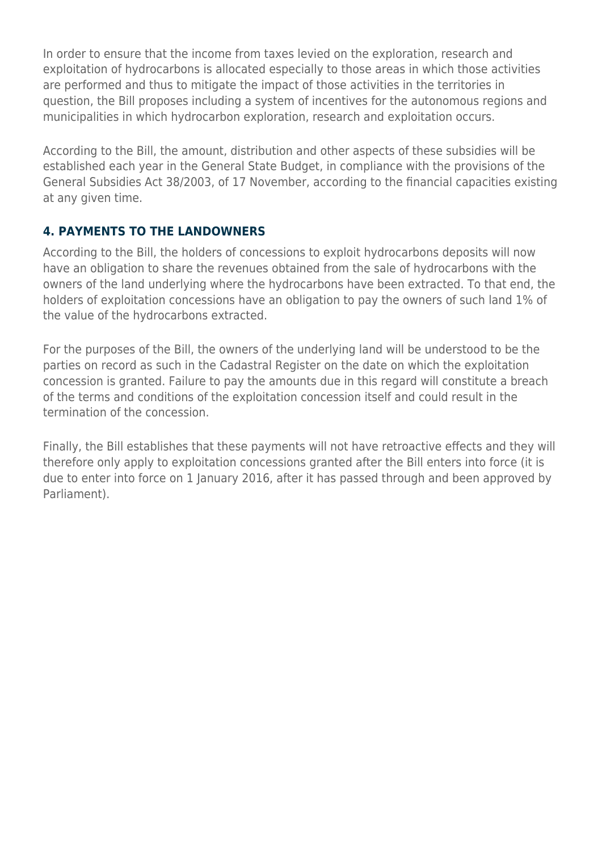In order to ensure that the income from taxes levied on the exploration, research and exploitation of hydrocarbons is allocated especially to those areas in which those activities are performed and thus to mitigate the impact of those activities in the territories in question, the Bill proposes including a system of incentives for the autonomous regions and municipalities in which hydrocarbon exploration, research and exploitation occurs.

According to the Bill, the amount, distribution and other aspects of these subsidies will be established each year in the General State Budget, in compliance with the provisions of the General Subsidies Act 38/2003, of 17 November, according to the financial capacities existing at any given time.

# **4. PAYMENTS TO THE LANDOWNERS**

According to the Bill, the holders of concessions to exploit hydrocarbons deposits will now have an obligation to share the revenues obtained from the sale of hydrocarbons with the owners of the land underlying where the hydrocarbons have been extracted. To that end, the holders of exploitation concessions have an obligation to pay the owners of such land 1% of the value of the hydrocarbons extracted.

For the purposes of the Bill, the owners of the underlying land will be understood to be the parties on record as such in the Cadastral Register on the date on which the exploitation concession is granted. Failure to pay the amounts due in this regard will constitute a breach of the terms and conditions of the exploitation concession itself and could result in the termination of the concession.

Finally, the Bill establishes that these payments will not have retroactive effects and they will therefore only apply to exploitation concessions granted after the Bill enters into force (it is due to enter into force on 1 January 2016, after it has passed through and been approved by Parliament).